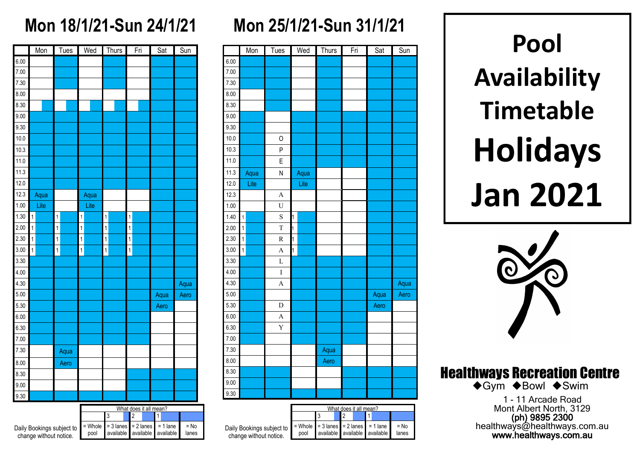### **Mon 18/1/21-Sun 24/1/21**

|      |                | Mon  |                | Tues |              | Wed  |                | Thurs |                | Fri | Sat  | Sun  |
|------|----------------|------|----------------|------|--------------|------|----------------|-------|----------------|-----|------|------|
| 6.00 |                |      |                |      |              |      |                |       |                |     |      |      |
| 7.00 |                |      |                |      |              |      |                |       |                |     |      |      |
| 7.30 |                |      |                |      |              |      |                |       |                |     |      |      |
| 8.00 |                |      |                |      |              |      |                |       |                |     |      |      |
| 8.30 |                |      |                |      |              |      |                |       |                |     |      |      |
| 9.00 |                |      |                |      |              |      |                |       |                |     |      |      |
| 9.30 |                |      |                |      |              |      |                |       |                |     |      |      |
| 10.0 |                |      |                |      |              |      |                |       |                |     |      |      |
| 10.3 |                |      |                |      |              |      |                |       |                |     |      |      |
| 11.0 |                |      |                |      |              |      |                |       |                |     |      |      |
| 11.3 |                |      |                |      |              |      |                |       |                |     |      |      |
| 12.0 |                |      |                |      |              |      |                |       |                |     |      |      |
| 12.3 |                | Aqua |                |      |              | Aqua |                |       |                |     |      |      |
| 1.00 |                | Lite |                |      |              | Lite |                |       |                |     |      |      |
| 1.30 | $\overline{1}$ |      | $\overline{1}$ |      | $\mathbf{1}$ |      | $\overline{1}$ |       | $\mathbf{1}$   |     |      |      |
| 2.00 | $\mathbf{1}$   |      | $\overline{1}$ |      | $\mathbf{1}$ |      | $\overline{1}$ |       | $\mathbf{1}$   |     |      |      |
| 2.30 | $\mathbf{1}$   |      | $\overline{1}$ |      | $\mathbf{1}$ |      | $\mathbf{1}$   |       | $\mathbf{1}$   |     |      |      |
| 3.00 | $\mathbf{1}$   |      | $\overline{1}$ |      | $\mathbf{1}$ |      | $\overline{1}$ |       | $\overline{1}$ |     |      |      |
| 3.30 |                |      |                |      |              |      |                |       |                |     |      |      |
| 4.00 |                |      |                |      |              |      |                |       |                |     |      |      |
| 4.30 |                |      |                |      |              |      |                |       |                |     |      | Aqua |
| 5.00 |                |      |                |      |              |      |                |       |                |     | Aqua | Aero |
| 5.30 |                |      |                |      |              |      |                |       |                |     | Aero |      |
| 6.00 |                |      |                |      |              |      |                |       |                |     |      |      |
| 6.30 |                |      |                |      |              |      |                |       |                |     |      |      |
| 7.00 |                |      |                |      |              |      |                |       |                |     |      |      |
| 7.30 |                |      |                | Aqua |              |      |                |       |                |     |      |      |
| 8.00 |                |      |                | Aero |              |      |                |       |                |     |      |      |
| 8.30 |                |      |                |      |              |      |                |       |                |     |      |      |
| 9.00 |                |      |                |      |              |      |                |       |                |     |      |      |
| 9.30 |                |      |                |      |              |      |                |       |                |     |      |      |

|                                   | What does it all mean?                               |                               |  |  |  |  |  |                 |  |  |  |  |
|-----------------------------------|------------------------------------------------------|-------------------------------|--|--|--|--|--|-----------------|--|--|--|--|
|                                   |                                                      | 3                             |  |  |  |  |  |                 |  |  |  |  |
| ings subject to<br>ithout notice. | $=$ Whole $=$ 3 lanes $=$ 2 lanes $=$ 1 lane<br>pool | available available available |  |  |  |  |  | $=$ No<br>lanes |  |  |  |  |

Daily Book change w

# **Mon 25/1/21-Sun 31/1/21**

|      | Mon            | Tues           | Wed  | <b>Thurs</b> | Fri | Sat  | Sun  |
|------|----------------|----------------|------|--------------|-----|------|------|
| 6.00 |                |                |      |              |     |      |      |
| 7.00 |                |                |      |              |     |      |      |
| 7.30 |                |                |      |              |     |      |      |
| 8.00 |                |                |      |              |     |      |      |
| 8.30 |                |                |      |              |     |      |      |
| 9.00 |                |                |      |              |     |      |      |
| 9.30 |                |                |      |              |     |      |      |
| 10.0 |                | O              |      |              |     |      |      |
| 10.3 |                | P              |      |              |     |      |      |
| 11.0 |                | E              |      |              |     |      |      |
| 11.3 | Aqua           | N              | Aqua |              |     |      |      |
| 12.0 | Lite           |                | Lite |              |     |      |      |
| 12.3 |                | $\mathbf{A}$   |      |              |     |      |      |
| 1.00 |                | $\mathbf U$    |      |              |     |      |      |
| 1.40 | $\mathbf{1}$   | S              | 1    |              |     |      |      |
| 2.00 | $\mathbf{1}$   | $\overline{T}$ | 1    |              |     |      |      |
| 2.30 | $\overline{1}$ | ${\bf R}$      | 1    |              |     |      |      |
| 3.00 | $\mathbf{1}$   | $\mathbf{A}$   | 1    |              |     |      |      |
| 3.30 |                | L              |      |              |     |      |      |
| 4.00 |                | $\mathbf I$    |      |              |     |      |      |
| 4.30 |                | $\overline{A}$ |      |              |     |      | Aqua |
| 5.00 |                |                |      |              |     | Aqua | Aero |
| 5.30 |                | $\mathbf D$    |      |              |     | Aero |      |
| 6.00 |                | $\mathbf{A}$   |      |              |     |      |      |
| 6.30 |                | Y              |      |              |     |      |      |
| 7.00 |                |                |      |              |     |      |      |
| 7.30 |                |                |      | Aqua         |     |      |      |
| 8.00 |                |                |      | Aero         |     |      |      |
| 8.30 |                |                |      |              |     |      |      |
| 9.00 |                |                |      |              |     |      |      |
| 9.30 |                |                |      |              |     |      |      |

|                                                     | What does it all mean?                               |                               |  |  |  |  |  |                 |  |  |
|-----------------------------------------------------|------------------------------------------------------|-------------------------------|--|--|--|--|--|-----------------|--|--|
|                                                     |                                                      |                               |  |  |  |  |  |                 |  |  |
| Daily Bookings subject to<br>change without notice. | $=$ Whole $=$ 3 lanes $=$ 2 lanes $=$ 1 lane<br>pool | available available available |  |  |  |  |  | $=$ No<br>lanes |  |  |

**Pool Availability Timetable Holidays Jan 2021**



Healthways Recreation Centre

◆Gym ◆Bowl ◆Swim

1 - 11 Arcade Road Mont Albert North, 3129 (ph) 9895 2300 healthways@healthways.com.au www.healthways.com.au